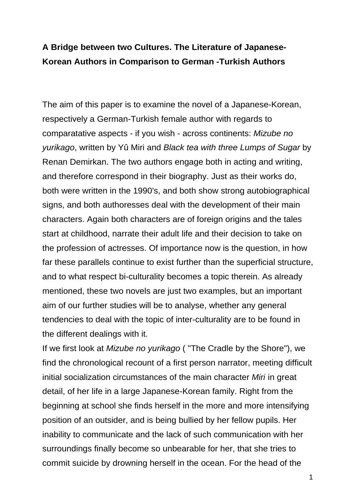## **A Bridge between two Cultures. The Literature of Japanese-Korean Authors in Comparison to German -Turkish Authors**

The aim of this paper is to examine the novel of a Japanese-Korean, respectively a German-Turkish female author with regards to comparatative aspects - if you wish - across continents: Mizube no yurikago, written by Yû Miri and Black tea with three Lumps of Sugar by Renan Demirkan. The two authors engage both in acting and writing, and therefore correspond in their biography. Just as their works do, both were written in the 1990's, and both show strong autobiographical signs, and both authoresses deal with the development of their main characters. Again both characters are of foreign origins and the tales start at childhood, narrate their adult life and their decision to take on the profession of actresses. Of importance now is the question, in how far these parallels continue to exist further than the superficial structure, and to what respect bi-culturality becomes a topic therein. As already mentioned, these two novels are just two examples, but an important aim of our further studies will be to analyse, whether any general tendencies to deal with the topic of inter-culturality are to be found in the different dealings with it.

If we first look at Mizube no yurikago ( "The Cradle by the Shore"), we find the chronological recount of a first person narrator, meeting difficult initial socialization circumstances of the main character Miri in great detail, of her life in a large Japanese-Korean family. Right from the beginning at school she finds herself in the more and more intensifying position of an outsider, and is being bullied by her fellow pupils. Her inability to communicate and the lack of such communication with her surroundings finally become so unbearable for her, that she tries to commit suicide by drowning herself in the ocean. For the head of the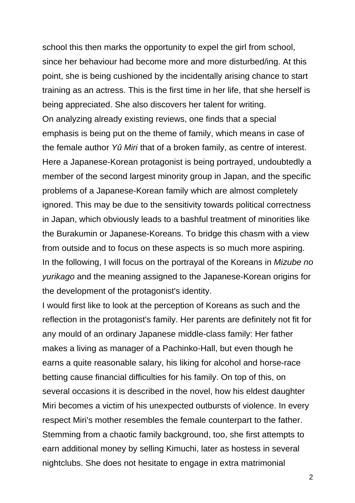school this then marks the opportunity to expel the girl from school, since her behaviour had become more and more disturbed/ing. At this point, she is being cushioned by the incidentally arising chance to start training as an actress. This is the first time in her life, that she herself is being appreciated. She also discovers her talent for writing. On analyzing already existing reviews, one finds that a special emphasis is being put on the theme of family, which means in case of the female author Yû Miri that of a broken family, as centre of interest. Here a Japanese-Korean protagonist is being portrayed, undoubtedly a member of the second largest minority group in Japan, and the specific problems of a Japanese-Korean family which are almost completely ignored. This may be due to the sensitivity towards political correctness in Japan, which obviously leads to a bashful treatment of minorities like the Burakumin or Japanese-Koreans. To bridge this chasm with a view from outside and to focus on these aspects is so much more aspiring. In the following, I will focus on the portrayal of the Koreans in Mizube no yurikago and the meaning assigned to the Japanese-Korean origins for the development of the protagonist's identity.

I would first like to look at the perception of Koreans as such and the reflection in the protagonist's family. Her parents are definitely not fit for any mould of an ordinary Japanese middle-class family: Her father makes a living as manager of a Pachinko-Hall, but even though he earns a quite reasonable salary, his liking for alcohol and horse-race betting cause financial difficulties for his family. On top of this, on several occasions it is described in the novel, how his eldest daughter Miri becomes a victim of his unexpected outbursts of violence. In every respect Miri's mother resembles the female counterpart to the father. Stemming from a chaotic family background, too, she first attempts to earn additional money by selling Kimuchi, later as hostess in several nightclubs. She does not hesitate to engage in extra matrimonial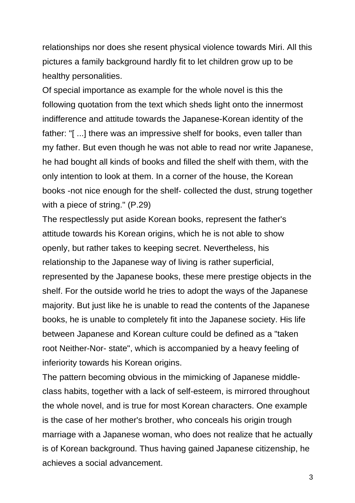relationships nor does she resent physical violence towards Miri. All this pictures a family background hardly fit to let children grow up to be healthy personalities.

Of special importance as example for the whole novel is this the following quotation from the text which sheds light onto the innermost indifference and attitude towards the Japanese-Korean identity of the father: "[ ...] there was an impressive shelf for books, even taller than my father. But even though he was not able to read nor write Japanese, he had bought all kinds of books and filled the shelf with them, with the only intention to look at them. In a corner of the house, the Korean books -not nice enough for the shelf- collected the dust, strung together with a piece of string." (P.29)

The respectlessly put aside Korean books, represent the father's attitude towards his Korean origins, which he is not able to show openly, but rather takes to keeping secret. Nevertheless, his relationship to the Japanese way of living is rather superficial, represented by the Japanese books, these mere prestige objects in the shelf. For the outside world he tries to adopt the ways of the Japanese majority. But just like he is unable to read the contents of the Japanese books, he is unable to completely fit into the Japanese society. His life between Japanese and Korean culture could be defined as a "taken root Neither-Nor- state", which is accompanied by a heavy feeling of inferiority towards his Korean origins.

The pattern becoming obvious in the mimicking of Japanese middleclass habits, together with a lack of self-esteem, is mirrored throughout the whole novel, and is true for most Korean characters. One example is the case of her mother's brother, who conceals his origin trough marriage with a Japanese woman, who does not realize that he actually is of Korean background. Thus having gained Japanese citizenship, he achieves a social advancement.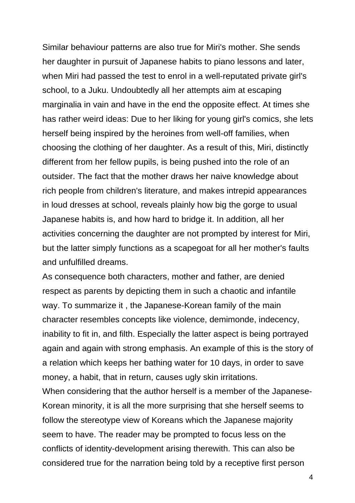Similar behaviour patterns are also true for Miri's mother. She sends her daughter in pursuit of Japanese habits to piano lessons and later, when Miri had passed the test to enrol in a well-reputated private girl's school, to a Juku. Undoubtedly all her attempts aim at escaping marginalia in vain and have in the end the opposite effect. At times she has rather weird ideas: Due to her liking for young girl's comics, she lets herself being inspired by the heroines from well-off families, when choosing the clothing of her daughter. As a result of this, Miri, distinctly different from her fellow pupils, is being pushed into the role of an outsider. The fact that the mother draws her naive knowledge about rich people from children's literature, and makes intrepid appearances in loud dresses at school, reveals plainly how big the gorge to usual Japanese habits is, and how hard to bridge it. In addition, all her activities concerning the daughter are not prompted by interest for Miri, but the latter simply functions as a scapegoat for all her mother's faults and unfulfilled dreams.

As consequence both characters, mother and father, are denied respect as parents by depicting them in such a chaotic and infantile way. To summarize it , the Japanese-Korean family of the main character resembles concepts like violence, demimonde, indecency, inability to fit in, and filth. Especially the latter aspect is being portrayed again and again with strong emphasis. An example of this is the story of a relation which keeps her bathing water for 10 days, in order to save money, a habit, that in return, causes ugly skin irritations.

When considering that the author herself is a member of the Japanese-Korean minority, it is all the more surprising that she herself seems to follow the stereotype view of Koreans which the Japanese majority seem to have. The reader may be prompted to focus less on the conflicts of identity-development arising therewith. This can also be considered true for the narration being told by a receptive first person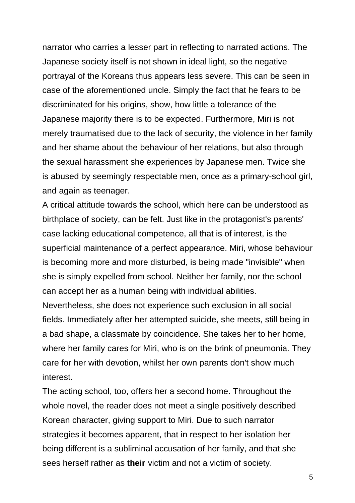narrator who carries a lesser part in reflecting to narrated actions. The Japanese society itself is not shown in ideal light, so the negative portrayal of the Koreans thus appears less severe. This can be seen in case of the aforementioned uncle. Simply the fact that he fears to be discriminated for his origins, show, how little a tolerance of the Japanese majority there is to be expected. Furthermore, Miri is not merely traumatised due to the lack of security, the violence in her family and her shame about the behaviour of her relations, but also through the sexual harassment she experiences by Japanese men. Twice she is abused by seemingly respectable men, once as a primary-school girl, and again as teenager.

A critical attitude towards the school, which here can be understood as birthplace of society, can be felt. Just like in the protagonist's parents' case lacking educational competence, all that is of interest, is the superficial maintenance of a perfect appearance. Miri, whose behaviour is becoming more and more disturbed, is being made "invisible" when she is simply expelled from school. Neither her family, nor the school can accept her as a human being with individual abilities.

Nevertheless, she does not experience such exclusion in all social fields. Immediately after her attempted suicide, she meets, still being in a bad shape, a classmate by coincidence. She takes her to her home, where her family cares for Miri, who is on the brink of pneumonia. They care for her with devotion, whilst her own parents don't show much interest.

The acting school, too, offers her a second home. Throughout the whole novel, the reader does not meet a single positively described Korean character, giving support to Miri. Due to such narrator strategies it becomes apparent, that in respect to her isolation her being different is a subliminal accusation of her family, and that she sees herself rather as **their** victim and not a victim of society.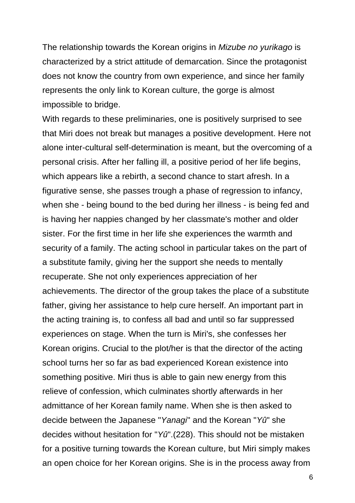The relationship towards the Korean origins in *Mizube no yurikago* is characterized by a strict attitude of demarcation. Since the protagonist does not know the country from own experience, and since her family represents the only link to Korean culture, the gorge is almost impossible to bridge.

With regards to these preliminaries, one is positively surprised to see that Miri does not break but manages a positive development. Here not alone inter-cultural self-determination is meant, but the overcoming of a personal crisis. After her falling ill, a positive period of her life begins, which appears like a rebirth, a second chance to start afresh. In a figurative sense, she passes trough a phase of regression to infancy, when she - being bound to the bed during her illness - is being fed and is having her nappies changed by her classmate's mother and older sister. For the first time in her life she experiences the warmth and security of a family. The acting school in particular takes on the part of a substitute family, giving her the support she needs to mentally recuperate. She not only experiences appreciation of her achievements. The director of the group takes the place of a substitute father, giving her assistance to help cure herself. An important part in the acting training is, to confess all bad and until so far suppressed experiences on stage. When the turn is Miri's, she confesses her Korean origins. Crucial to the plot/her is that the director of the acting school turns her so far as bad experienced Korean existence into something positive. Miri thus is able to gain new energy from this relieve of confession, which culminates shortly afterwards in her admittance of her Korean family name. When she is then asked to decide between the Japanese "Yanagi" and the Korean "Yû" she decides without hesitation for "Yû".(228). This should not be mistaken for a positive turning towards the Korean culture, but Miri simply makes an open choice for her Korean origins. She is in the process away from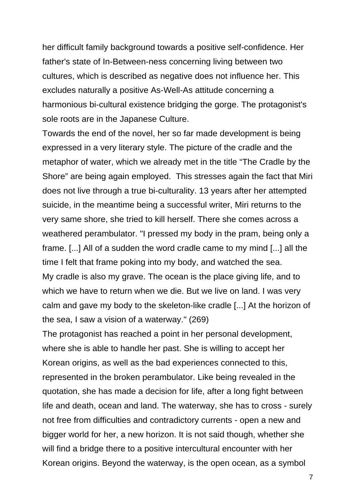her difficult family background towards a positive self-confidence. Her father's state of In-Between-ness concerning living between two cultures, which is described as negative does not influence her. This excludes naturally a positive As-Well-As attitude concerning a harmonious bi-cultural existence bridging the gorge. The protagonist's sole roots are in the Japanese Culture.

Towards the end of the novel, her so far made development is being expressed in a very literary style. The picture of the cradle and the metaphor of water, which we already met in the title "The Cradle by the Shore" are being again employed. This stresses again the fact that Miri does not live through a true bi-culturality. 13 years after her attempted suicide, in the meantime being a successful writer, Miri returns to the very same shore, she tried to kill herself. There she comes across a weathered perambulator. "I pressed my body in the pram, being only a frame. [...] All of a sudden the word cradle came to my mind [...] all the time I felt that frame poking into my body, and watched the sea. My cradle is also my grave. The ocean is the place giving life, and to which we have to return when we die. But we live on land. I was very calm and gave my body to the skeleton-like cradle [...] At the horizon of the sea, I saw a vision of a waterway." (269)

The protagonist has reached a point in her personal development, where she is able to handle her past. She is willing to accept her Korean origins, as well as the bad experiences connected to this, represented in the broken perambulator. Like being revealed in the quotation, she has made a decision for life, after a long fight between life and death, ocean and land. The waterway, she has to cross - surely not free from difficulties and contradictory currents - open a new and bigger world for her, a new horizon. It is not said though, whether she will find a bridge there to a positive intercultural encounter with her Korean origins. Beyond the waterway, is the open ocean, as a symbol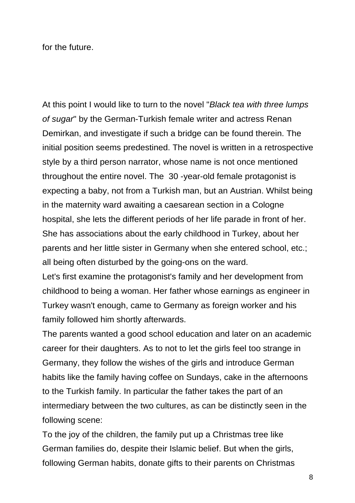for the future.

At this point I would like to turn to the novel "Black tea with three lumps" of sugar" by the German-Turkish female writer and actress Renan Demirkan, and investigate if such a bridge can be found therein. The initial position seems predestined. The novel is written in a retrospective style by a third person narrator, whose name is not once mentioned throughout the entire novel. The 30 -year-old female protagonist is expecting a baby, not from a Turkish man, but an Austrian. Whilst being in the maternity ward awaiting a caesarean section in a Cologne hospital, she lets the different periods of her life parade in front of her. She has associations about the early childhood in Turkey, about her parents and her little sister in Germany when she entered school, etc.; all being often disturbed by the going-ons on the ward.

Let's first examine the protagonist's family and her development from childhood to being a woman. Her father whose earnings as engineer in Turkey wasn't enough, came to Germany as foreign worker and his family followed him shortly afterwards.

The parents wanted a good school education and later on an academic career for their daughters. As to not to let the girls feel too strange in Germany, they follow the wishes of the girls and introduce German habits like the family having coffee on Sundays, cake in the afternoons to the Turkish family. In particular the father takes the part of an intermediary between the two cultures, as can be distinctly seen in the following scene:

To the joy of the children, the family put up a Christmas tree like German families do, despite their Islamic belief. But when the girls, following German habits, donate gifts to their parents on Christmas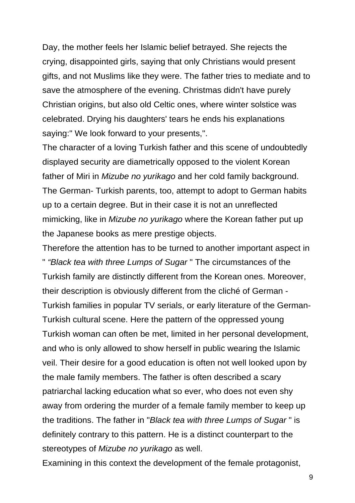Day, the mother feels her Islamic belief betrayed. She rejects the crying, disappointed girls, saying that only Christians would present gifts, and not Muslims like they were. The father tries to mediate and to save the atmosphere of the evening. Christmas didn't have purely Christian origins, but also old Celtic ones, where winter solstice was celebrated. Drying his daughters' tears he ends his explanations saying:" We look forward to your presents,".

The character of a loving Turkish father and this scene of undoubtedly displayed security are diametrically opposed to the violent Korean father of Miri in Mizube no yurikago and her cold family background. The German- Turkish parents, too, attempt to adopt to German habits up to a certain degree. But in their case it is not an unreflected mimicking, like in Mizube no yurikago where the Korean father put up the Japanese books as mere prestige objects.

Therefore the attention has to be turned to another important aspect in " "Black tea with three Lumps of Sugar " The circumstances of the Turkish family are distinctly different from the Korean ones. Moreover, their description is obviously different from the cliché of German - Turkish families in popular TV serials, or early literature of the German-Turkish cultural scene. Here the pattern of the oppressed young Turkish woman can often be met, limited in her personal development, and who is only allowed to show herself in public wearing the Islamic veil. Their desire for a good education is often not well looked upon by the male family members. The father is often described a scary patriarchal lacking education what so ever, who does not even shy away from ordering the murder of a female family member to keep up the traditions. The father in "Black tea with three Lumps of Sugar " is definitely contrary to this pattern. He is a distinct counterpart to the stereotypes of Mizube no yurikago as well.

Examining in this context the development of the female protagonist,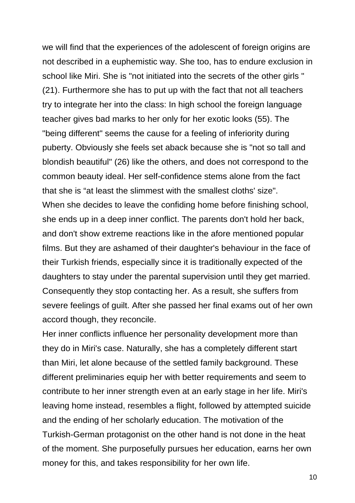we will find that the experiences of the adolescent of foreign origins are not described in a euphemistic way. She too, has to endure exclusion in school like Miri. She is "not initiated into the secrets of the other girls " (21). Furthermore she has to put up with the fact that not all teachers try to integrate her into the class: In high school the foreign language teacher gives bad marks to her only for her exotic looks (55). The "being different" seems the cause for a feeling of inferiority during puberty. Obviously she feels set aback because she is "not so tall and blondish beautiful" (26) like the others, and does not correspond to the common beauty ideal. Her self-confidence stems alone from the fact that she is "at least the slimmest with the smallest cloths' size". When she decides to leave the confiding home before finishing school, she ends up in a deep inner conflict. The parents don't hold her back, and don't show extreme reactions like in the afore mentioned popular films. But they are ashamed of their daughter's behaviour in the face of their Turkish friends, especially since it is traditionally expected of the daughters to stay under the parental supervision until they get married. Consequently they stop contacting her. As a result, she suffers from severe feelings of guilt. After she passed her final exams out of her own accord though, they reconcile.

Her inner conflicts influence her personality development more than they do in Miri's case. Naturally, she has a completely different start than Miri, let alone because of the settled family background. These different preliminaries equip her with better requirements and seem to contribute to her inner strength even at an early stage in her life. Miri's leaving home instead, resembles a flight, followed by attempted suicide and the ending of her scholarly education. The motivation of the Turkish-German protagonist on the other hand is not done in the heat of the moment. She purposefully pursues her education, earns her own money for this, and takes responsibility for her own life.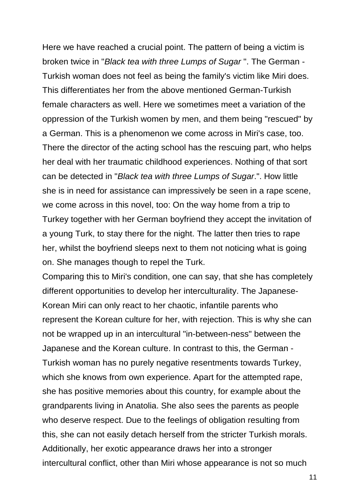Here we have reached a crucial point. The pattern of being a victim is broken twice in "Black tea with three Lumps of Sugar ". The German - Turkish woman does not feel as being the family's victim like Miri does. This differentiates her from the above mentioned German-Turkish female characters as well. Here we sometimes meet a variation of the oppression of the Turkish women by men, and them being "rescued" by a German. This is a phenomenon we come across in Miri's case, too. There the director of the acting school has the rescuing part, who helps her deal with her traumatic childhood experiences. Nothing of that sort can be detected in "Black tea with three Lumps of Sugar.". How little she is in need for assistance can impressively be seen in a rape scene, we come across in this novel, too: On the way home from a trip to Turkey together with her German boyfriend they accept the invitation of a young Turk, to stay there for the night. The latter then tries to rape her, whilst the boyfriend sleeps next to them not noticing what is going on. She manages though to repel the Turk.

Comparing this to Miri's condition, one can say, that she has completely different opportunities to develop her interculturality. The Japanese-Korean Miri can only react to her chaotic, infantile parents who represent the Korean culture for her, with rejection. This is why she can not be wrapped up in an intercultural "in-between-ness" between the Japanese and the Korean culture. In contrast to this, the German - Turkish woman has no purely negative resentments towards Turkey, which she knows from own experience. Apart for the attempted rape, she has positive memories about this country, for example about the grandparents living in Anatolia. She also sees the parents as people who deserve respect. Due to the feelings of obligation resulting from this, she can not easily detach herself from the stricter Turkish morals. Additionally, her exotic appearance draws her into a stronger intercultural conflict, other than Miri whose appearance is not so much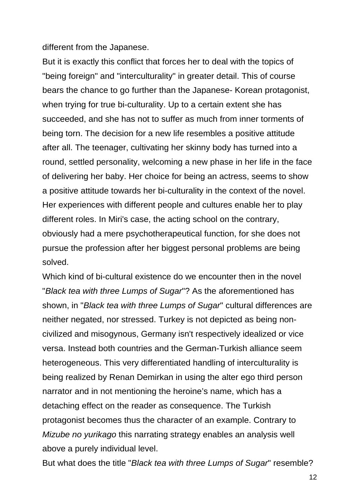different from the Japanese.

But it is exactly this conflict that forces her to deal with the topics of "being foreign" and "interculturality" in greater detail. This of course bears the chance to go further than the Japanese- Korean protagonist, when trying for true bi-culturality. Up to a certain extent she has succeeded, and she has not to suffer as much from inner torments of being torn. The decision for a new life resembles a positive attitude after all. The teenager, cultivating her skinny body has turned into a round, settled personality, welcoming a new phase in her life in the face of delivering her baby. Her choice for being an actress, seems to show a positive attitude towards her bi-culturality in the context of the novel. Her experiences with different people and cultures enable her to play different roles. In Miri's case, the acting school on the contrary, obviously had a mere psychotherapeutical function, for she does not pursue the profession after her biggest personal problems are being solved.

Which kind of bi-cultural existence do we encounter then in the novel "Black tea with three Lumps of Sugar"? As the aforementioned has shown, in "Black tea with three Lumps of Sugar" cultural differences are neither negated, nor stressed. Turkey is not depicted as being noncivilized and misogynous, Germany isn't respectively idealized or vice versa. Instead both countries and the German-Turkish alliance seem heterogeneous. This very differentiated handling of interculturality is being realized by Renan Demirkan in using the alter ego third person narrator and in not mentioning the heroine's name, which has a detaching effect on the reader as consequence. The Turkish protagonist becomes thus the character of an example. Contrary to Mizube no yurikago this narrating strategy enables an analysis well above a purely individual level.

But what does the title "Black tea with three Lumps of Sugar" resemble?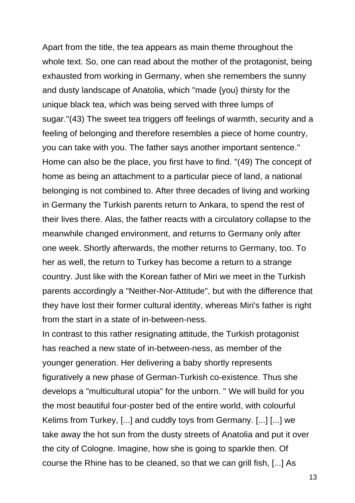Apart from the title, the tea appears as main theme throughout the whole text. So, one can read about the mother of the protagonist, being exhausted from working in Germany, when she remembers the sunny and dusty landscape of Anatolia, which "made {you} thirsty for the unique black tea, which was being served with three lumps of sugar."(43) The sweet tea triggers off feelings of warmth, security and a feeling of belonging and therefore resembles a piece of home country, you can take with you. The father says another important sentence." Home can also be the place, you first have to find. "(49) The concept of home as being an attachment to a particular piece of land, a national belonging is not combined to. After three decades of living and working in Germany the Turkish parents return to Ankara, to spend the rest of their lives there. Alas, the father reacts with a circulatory collapse to the meanwhile changed environment, and returns to Germany only after one week. Shortly afterwards, the mother returns to Germany, too. To her as well, the return to Turkey has become a return to a strange country. Just like with the Korean father of Miri we meet in the Turkish parents accordingly a "Neither-Nor-Attitude", but with the difference that they have lost their former cultural identity, whereas Miri's father is right from the start in a state of in-between-ness.

In contrast to this rather resignating attitude, the Turkish protagonist has reached a new state of in-between-ness, as member of the younger generation. Her delivering a baby shortly represents figuratively a new phase of German-Turkish co-existence. Thus she develops a "multicultural utopia" for the unborn. " We will build for you the most beautiful four-poster bed of the entire world, with colourful Kelims from Turkey, [...] and cuddly toys from Germany. [...] [...] we take away the hot sun from the dusty streets of Anatolia and put it over the city of Cologne. Imagine, how she is going to sparkle then. Of course the Rhine has to be cleaned, so that we can grill fish, [...] As